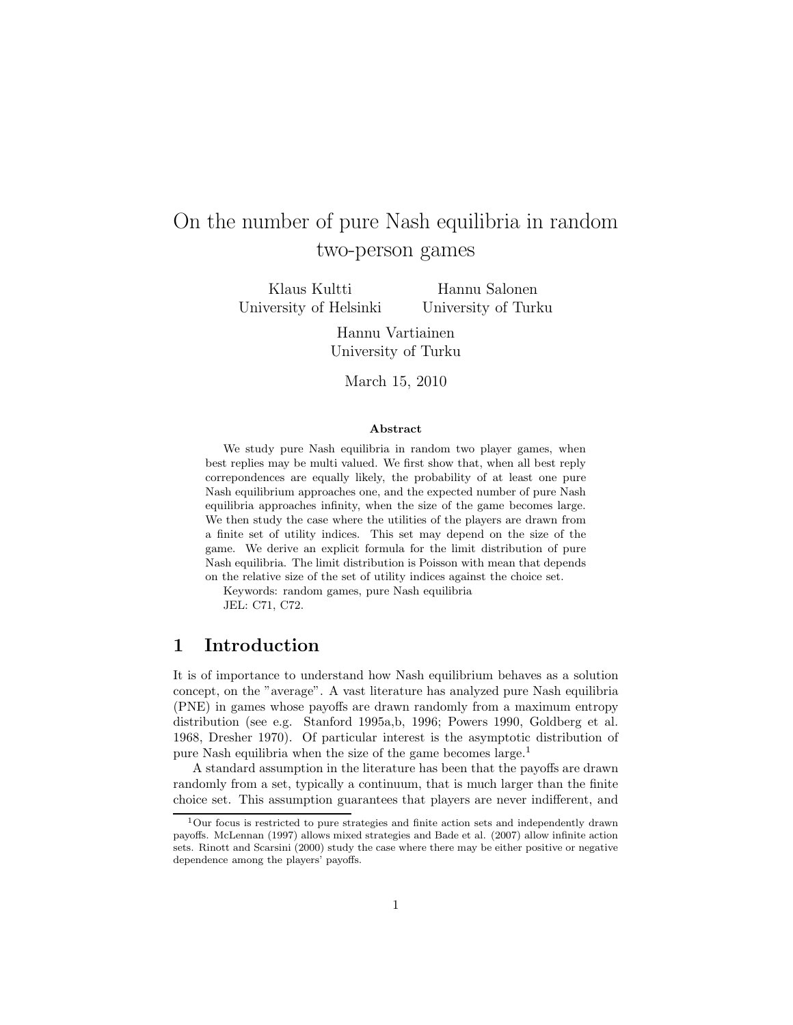# On the number of pure Nash equilibria in random two-person games

Klaus Kultti University of Helsinki

Hannu Salonen University of Turku

Hannu Vartiainen University of Turku

March 15, 2010

#### Abstract

We study pure Nash equilibria in random two player games, when best replies may be multi valued. We first show that, when all best reply correpondences are equally likely, the probability of at least one pure Nash equilibrium approaches one, and the expected number of pure Nash equilibria approaches infinity, when the size of the game becomes large. We then study the case where the utilities of the players are drawn from a finite set of utility indices. This set may depend on the size of the game. We derive an explicit formula for the limit distribution of pure Nash equilibria. The limit distribution is Poisson with mean that depends on the relative size of the set of utility indices against the choice set.

Keywords: random games, pure Nash equilibria

JEL: C71, C72.

### 1 Introduction

It is of importance to understand how Nash equilibrium behaves as a solution concept, on the "average". A vast literature has analyzed pure Nash equilibria (PNE) in games whose payoffs are drawn randomly from a maximum entropy distribution (see e.g. Stanford 1995a,b, 1996; Powers 1990, Goldberg et al. 1968, Dresher 1970). Of particular interest is the asymptotic distribution of pure Nash equilibria when the size of the game becomes large.<sup>1</sup>

A standard assumption in the literature has been that the payoffs are drawn randomly from a set, typically a continuum, that is much larger than the finite choice set. This assumption guarantees that players are never indifferent, and

<sup>1</sup>Our focus is restricted to pure strategies and finite action sets and independently drawn payoffs. McLennan (1997) allows mixed strategies and Bade et al. (2007) allow infinite action sets. Rinott and Scarsini (2000) study the case where there may be either positive or negative dependence among the players' payoffs.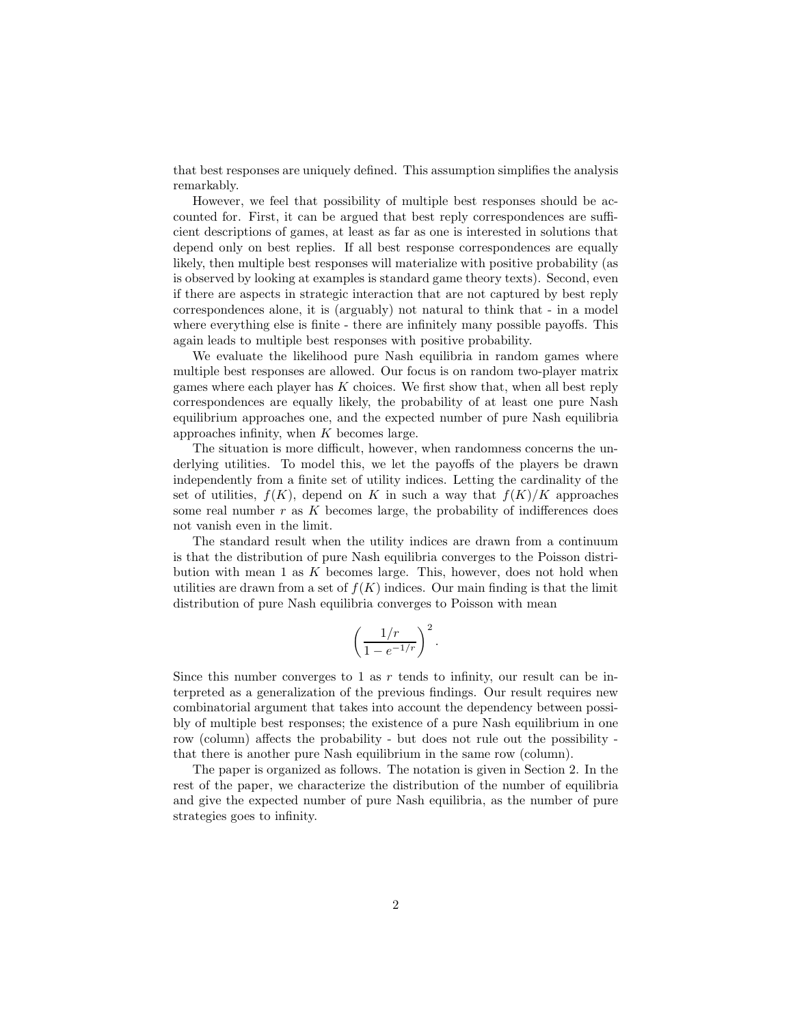that best responses are uniquely defined. This assumption simplifies the analysis remarkably.

However, we feel that possibility of multiple best responses should be accounted for. First, it can be argued that best reply correspondences are sufficient descriptions of games, at least as far as one is interested in solutions that depend only on best replies. If all best response correspondences are equally likely, then multiple best responses will materialize with positive probability (as is observed by looking at examples is standard game theory texts). Second, even if there are aspects in strategic interaction that are not captured by best reply correspondences alone, it is (arguably) not natural to think that - in a model where everything else is finite - there are infinitely many possible payoffs. This again leads to multiple best responses with positive probability.

We evaluate the likelihood pure Nash equilibria in random games where multiple best responses are allowed. Our focus is on random two-player matrix games where each player has  $K$  choices. We first show that, when all best reply correspondences are equally likely, the probability of at least one pure Nash equilibrium approaches one, and the expected number of pure Nash equilibria approaches infinity, when  $K$  becomes large.

The situation is more difficult, however, when randomness concerns the underlying utilities. To model this, we let the payoffs of the players be drawn independently from a finite set of utility indices. Letting the cardinality of the set of utilities,  $f(K)$ , depend on K in such a way that  $f(K)/K$  approaches some real number  $r$  as  $K$  becomes large, the probability of indifferences does not vanish even in the limit.

The standard result when the utility indices are drawn from a continuum is that the distribution of pure Nash equilibria converges to the Poisson distribution with mean  $1$  as  $K$  becomes large. This, however, does not hold when utilities are drawn from a set of  $f(K)$  indices. Our main finding is that the limit distribution of pure Nash equilibria converges to Poisson with mean

$$
\left(\frac{1/r}{1-e^{-1/r}}\right)^2.
$$

Since this number converges to 1 as  $r$  tends to infinity, our result can be interpreted as a generalization of the previous findings. Our result requires new combinatorial argument that takes into account the dependency between possibly of multiple best responses; the existence of a pure Nash equilibrium in one row (column) affects the probability - but does not rule out the possibility that there is another pure Nash equilibrium in the same row (column).

The paper is organized as follows. The notation is given in Section 2. In the rest of the paper, we characterize the distribution of the number of equilibria and give the expected number of pure Nash equilibria, as the number of pure strategies goes to infinity.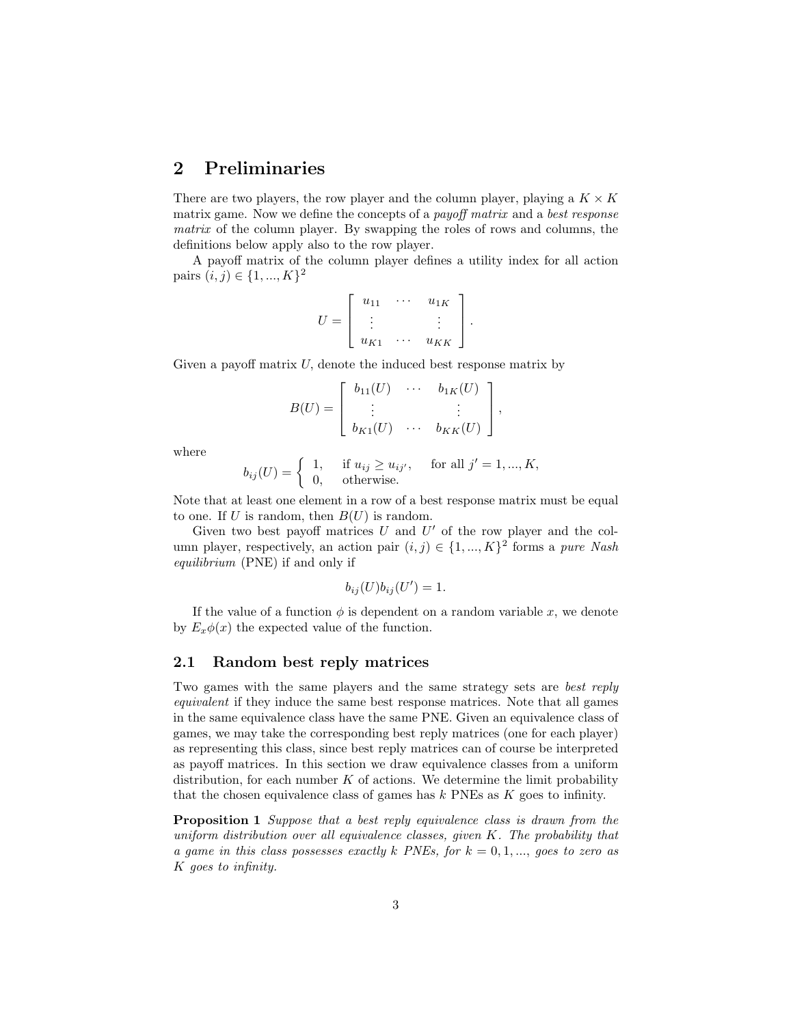## 2 Preliminaries

There are two players, the row player and the column player, playing a  $K \times K$ matrix game. Now we define the concepts of a *payoff matrix* and a *best response* matrix of the column player. By swapping the roles of rows and columns, the definitions below apply also to the row player.

A payoff matrix of the column player defines a utility index for all action pairs  $(i, j) \in \{1, ..., K\}^2$ 

$$
U = \left[ \begin{array}{ccc} u_{11} & \cdots & u_{1K} \\ \vdots & & \vdots \\ u_{K1} & \cdots & u_{KK} \end{array} \right].
$$

Given a payoff matrix  $U$ , denote the induced best response matrix by

$$
B(U) = \left[ \begin{array}{cccc} b_{11}(U) & \cdots & b_{1K}(U) \\ \vdots & & \vdots \\ b_{K1}(U) & \cdots & b_{KK}(U) \end{array} \right],
$$

where

$$
b_{ij}(U) = \begin{cases} 1, & \text{if } u_{ij} \ge u_{ij'}, \quad \text{for all } j' = 1, \dots, K, \\ 0, & \text{otherwise.} \end{cases}
$$

Note that at least one element in a row of a best response matrix must be equal to one. If U is random, then  $B(U)$  is random.

Given two best payoff matrices  $U$  and  $U'$  of the row player and the column player, respectively, an action pair  $(i, j) \in \{1, ..., K\}^2$  forms a pure Nash equilibrium (PNE) if and only if

$$
b_{ij}(U)b_{ij}(U')=1.
$$

If the value of a function  $\phi$  is dependent on a random variable x, we denote by  $E_x\phi(x)$  the expected value of the function.

#### 2.1 Random best reply matrices

Two games with the same players and the same strategy sets are best reply equivalent if they induce the same best response matrices. Note that all games in the same equivalence class have the same PNE. Given an equivalence class of games, we may take the corresponding best reply matrices (one for each player) as representing this class, since best reply matrices can of course be interpreted as payoff matrices. In this section we draw equivalence classes from a uniform distribution, for each number  $K$  of actions. We determine the limit probability that the chosen equivalence class of games has  $k$  PNEs as  $K$  goes to infinity.

Proposition 1 Suppose that a best reply equivalence class is drawn from the uniform distribution over all equivalence classes, given  $K$ . The probability that a game in this class possesses exactly k PNEs, for  $k = 0, 1, \ldots$ , goes to zero as K goes to infinity.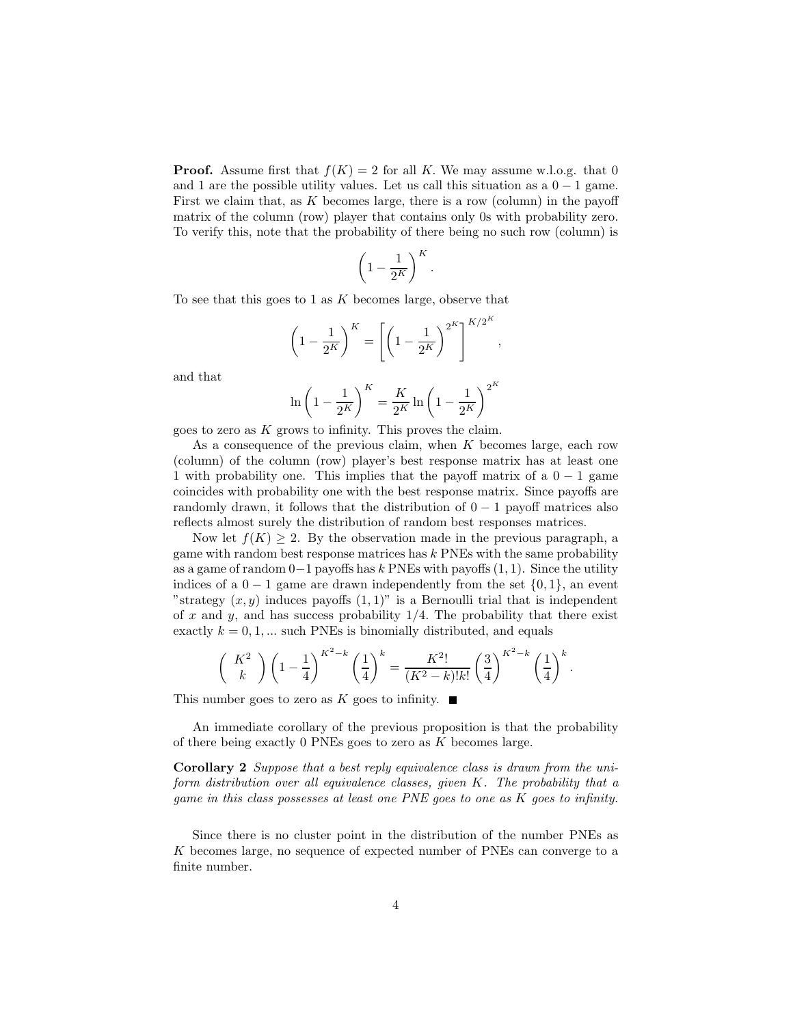**Proof.** Assume first that  $f(K) = 2$  for all K. We may assume w.l.o.g. that 0 and 1 are the possible utility values. Let us call this situation as a  $0 - 1$  game. First we claim that, as K becomes large, there is a row (column) in the payoff matrix of the column (row) player that contains only 0s with probability zero. To verify this, note that the probability of there being no such row (column) is

$$
\left(1-\frac{1}{2^K}\right)^K.
$$

To see that this goes to 1 as  $K$  becomes large, observe that

$$
\left(1 - \frac{1}{2^K}\right)^K = \left[\left(1 - \frac{1}{2^K}\right)^{2^K}\right]^{K/2^K},
$$

and that

$$
\ln\left(1-\frac{1}{2^K}\right)^K = \frac{K}{2^K}\ln\left(1-\frac{1}{2^K}\right)^{2^K}
$$

goes to zero as K grows to infinity. This proves the claim.

As a consequence of the previous claim, when  $K$  becomes large, each row (column) of the column (row) player's best response matrix has at least one 1 with probability one. This implies that the payoff matrix of a  $0 - 1$  game coincides with probability one with the best response matrix. Since payoffs are randomly drawn, it follows that the distribution of  $0 - 1$  payoff matrices also reflects almost surely the distribution of random best responses matrices.

Now let  $f(K) \geq 2$ . By the observation made in the previous paragraph, a game with random best response matrices has  $k$  PNEs with the same probability as a game of random  $0-1$  payoffs has k PNEs with payoffs  $(1, 1)$ . Since the utility indices of a  $0 - 1$  game are drawn independently from the set  $\{0, 1\}$ , an event "strategy  $(x, y)$  induces payoffs  $(1, 1)$ " is a Bernoulli trial that is independent of x and y, and has success probability  $1/4$ . The probability that there exist exactly  $k = 0, 1, ...$  such PNEs is binomially distributed, and equals

$$
\left(\begin{array}{c} K^2 \\ k \end{array} \right) \left(1-\frac{1}{4}\right)^{K^2-k} \left(\frac{1}{4}\right)^k = \frac{K^2!}{(K^2-k)!k!} \left(\frac{3}{4}\right)^{K^2-k} \left(\frac{1}{4}\right)^k.
$$

This number goes to zero as K goes to infinity.  $\blacksquare$ 

An immediate corollary of the previous proposition is that the probability of there being exactly 0 PNEs goes to zero as  $K$  becomes large.

Corollary 2 Suppose that a best reply equivalence class is drawn from the uniform distribution over all equivalence classes, given K. The probability that a game in this class possesses at least one PNE goes to one as K goes to infinity.

Since there is no cluster point in the distribution of the number PNEs as K becomes large, no sequence of expected number of PNEs can converge to a finite number.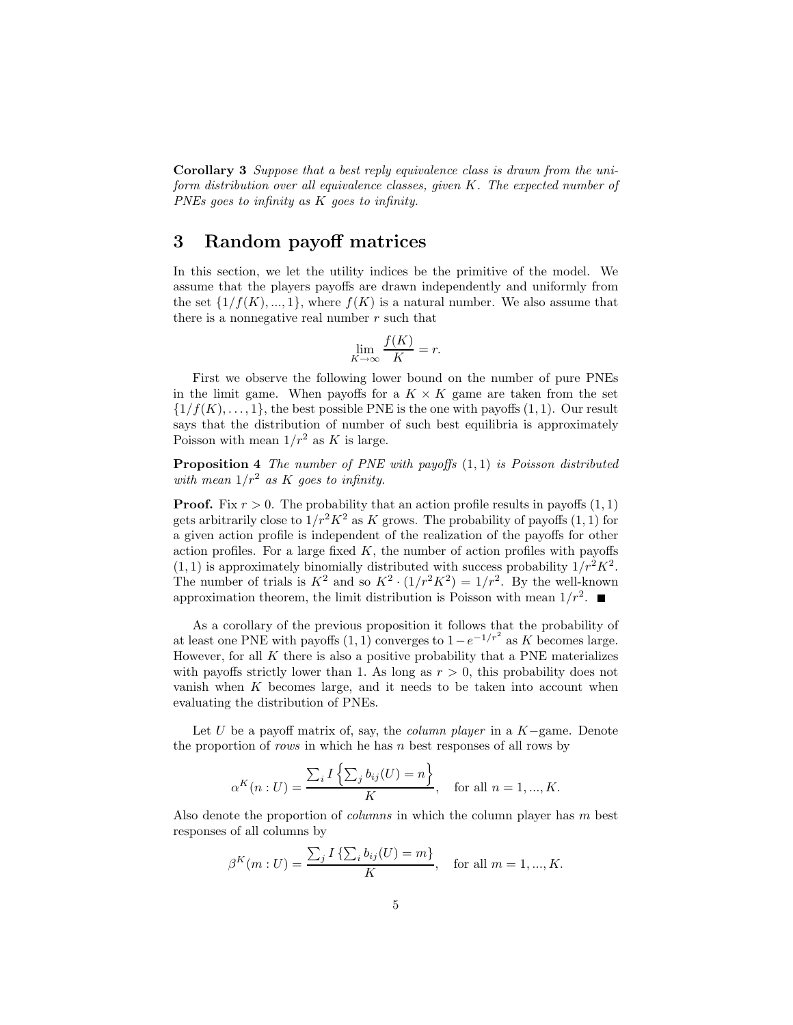Corollary 3 Suppose that a best reply equivalence class is drawn from the uniform distribution over all equivalence classes, given K. The expected number of PNEs goes to infinity as K goes to infinity.

## 3 Random payoff matrices

In this section, we let the utility indices be the primitive of the model. We assume that the players payoffs are drawn independently and uniformly from the set  $\{1/f(K),..., 1\}$ , where  $f(K)$  is a natural number. We also assume that there is a nonnegative real number  $r$  such that

$$
\lim_{K \to \infty} \frac{f(K)}{K} = r.
$$

First we observe the following lower bound on the number of pure PNEs in the limit game. When payoffs for a  $K \times K$  game are taken from the set  $\{1/f(K), \ldots, 1\}$ , the best possible PNE is the one with payoffs  $(1, 1)$ . Our result says that the distribution of number of such best equilibria is approximately Poisson with mean  $1/r^2$  as K is large.

**Proposition 4** The number of PNE with payoffs  $(1,1)$  is Poisson distributed with mean  $1/r^2$  as K goes to infinity.

**Proof.** Fix  $r > 0$ . The probability that an action profile results in payoffs  $(1, 1)$ gets arbitrarily close to  $1/r^2K^2$  as K grows. The probability of payoffs  $(1, 1)$  for a given action profile is independent of the realization of the payoffs for other action profiles. For a large fixed  $K$ , the number of action profiles with payoffs  $(1, 1)$  is approximately binomially distributed with success probability  $1/r^2 K^2$ . The number of trials is  $K^2$  and so  $K^2 \cdot (1/r^2 K^2) = 1/r^2$ . By the well-known approximation theorem, the limit distribution is Poisson with mean  $1/r^2$ .

As a corollary of the previous proposition it follows that the probability of at least one PNE with payoffs  $(1, 1)$  converges to  $1 - e^{-1/r^2}$  as K becomes large. However, for all  $K$  there is also a positive probability that a PNE materializes with payoffs strictly lower than 1. As long as  $r > 0$ , this probability does not vanish when  $K$  becomes large, and it needs to be taken into account when evaluating the distribution of PNEs.

Let U be a payoff matrix of, say, the *column player* in a  $K$ -game. Denote the proportion of *rows* in which he has  $n$  best responses of all rows by

$$
\alpha^{K}(n:U) = \frac{\sum_{i} I\left\{\sum_{j} b_{ij}(U) = n\right\}}{K}
$$
, for all  $n = 1, ..., K$ .

Also denote the proportion of *columns* in which the column player has m best responses of all columns by

$$
\beta^{K}(m:U) = \frac{\sum_{j} I\{\sum_{i} b_{ij}(U) = m\}}{K}, \text{ for all } m = 1, ..., K.
$$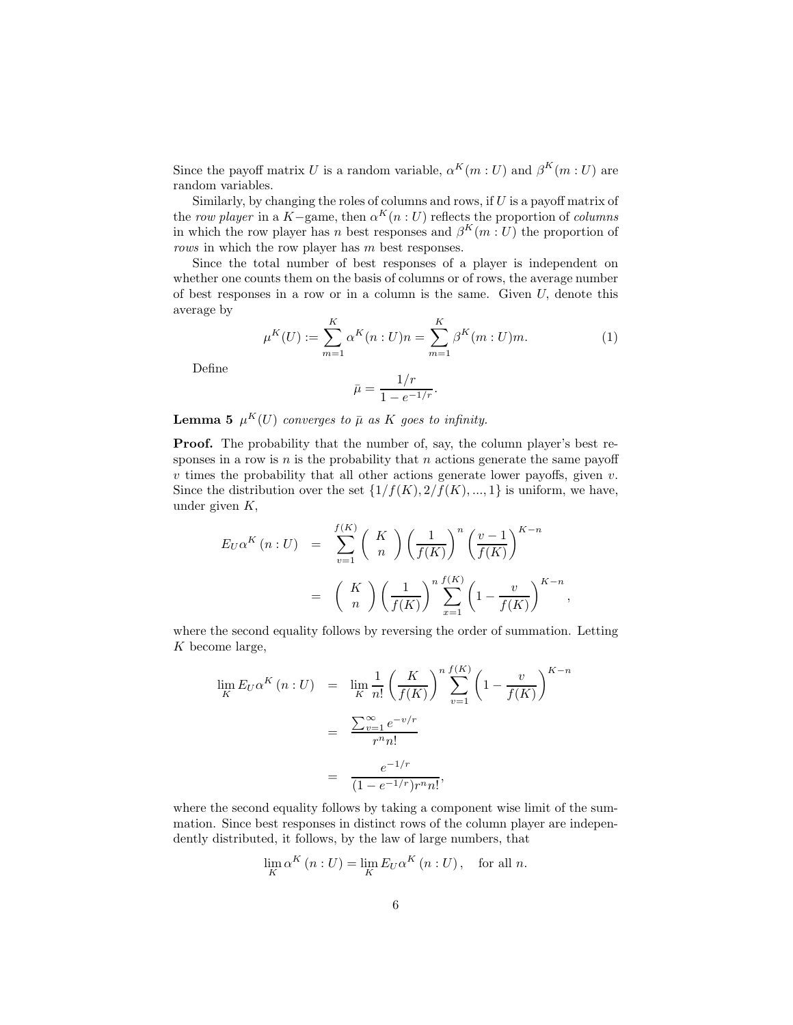Since the payoff matrix U is a random variable,  $\alpha^{K}(m:U)$  and  $\beta^{K}(m:U)$  are random variables.

Similarly, by changing the roles of columns and rows, if U is a payoff matrix of the row player in a K–game, then  $\alpha^{K}(n : U)$  reflects the proportion of *columns* in which the row player has n best responses and  $\beta^{K}(m:U)$  the proportion of rows in which the row player has m best responses.

Since the total number of best responses of a player is independent on whether one counts them on the basis of columns or of rows, the average number of best responses in a row or in a column is the same. Given  $U$ , denote this average by

$$
\mu^{K}(U) := \sum_{m=1}^{K} \alpha^{K}(n : U)n = \sum_{m=1}^{K} \beta^{K}(m : U)m.
$$
 (1)

Define

$$
\bar{\mu} = \frac{1/r}{1 - e^{-1/r}}.
$$

**Lemma 5**  $\mu^K(U)$  converges to  $\bar{\mu}$  as K goes to infinity.

Proof. The probability that the number of, say, the column player's best responses in a row is  $n$  is the probability that  $n$  actions generate the same payoff  $v$  times the probability that all other actions generate lower payoffs, given  $v$ . Since the distribution over the set  $\{1/f(K), 2/f(K), ..., 1\}$  is uniform, we have, under given  $K$ ,

$$
E_U \alpha^K (n:U) = \sum_{v=1}^{f(K)} \binom{K}{n} \left(\frac{1}{f(K)}\right)^n \left(\frac{v-1}{f(K)}\right)^{K-n}
$$

$$
= \binom{K}{n} \left(\frac{1}{f(K)}\right)^n \sum_{x=1}^{f(K)} \left(1 - \frac{v}{f(K)}\right)^{K-n},
$$

where the second equality follows by reversing the order of summation. Letting K become large,

$$
\lim_{K} E_{U} \alpha^{K} (n : U) = \lim_{K} \frac{1}{n!} \left( \frac{K}{f(K)} \right)^{n} \sum_{v=1}^{f(K)} \left( 1 - \frac{v}{f(K)} \right)^{K-n}
$$

$$
= \frac{\sum_{v=1}^{\infty} e^{-v/r}}{r^{n} n!}
$$

$$
= \frac{e^{-1/r}}{(1 - e^{-1/r}) r^{n} n!},
$$

where the second equality follows by taking a component wise limit of the summation. Since best responses in distinct rows of the column player are independently distributed, it follows, by the law of large numbers, that

$$
\lim_{K} \alpha^{K}(n:U) = \lim_{K} E_{U} \alpha^{K}(n:U), \text{ for all } n.
$$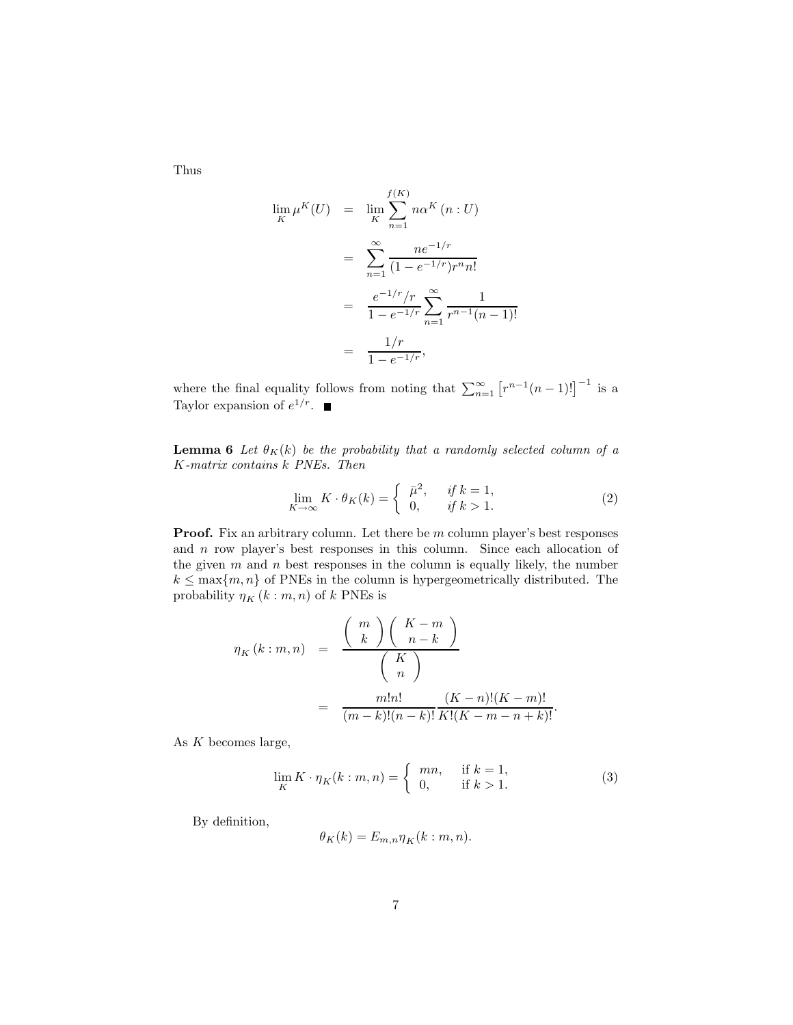Thus

$$
\lim_{K} \mu^{K}(U) = \lim_{K} \sum_{n=1}^{f(K)} n\alpha^{K}(n:U)
$$

$$
= \sum_{n=1}^{\infty} \frac{ne^{-1/r}}{(1 - e^{-1/r})r^{n}n!}
$$

$$
= \frac{e^{-1/r}/r}{1 - e^{-1/r}} \sum_{n=1}^{\infty} \frac{1}{r^{n-1}(n-1)!}
$$

$$
= \frac{1/r}{1 - e^{-1/r}},
$$

where the final equality follows from noting that  $\sum_{n=1}^{\infty} [r^{n-1}(n-1)!]^{-1}$  is a Taylor expansion of  $e^{1/r}$ .

**Lemma 6** Let  $\theta_K(k)$  be the probability that a randomly selected column of a K-matrix contains k PNEs. Then

$$
\lim_{K \to \infty} K \cdot \theta_K(k) = \begin{cases} \bar{\mu}^2, & \text{if } k = 1, \\ 0, & \text{if } k > 1. \end{cases}
$$
 (2)

Proof. Fix an arbitrary column. Let there be m column player's best responses and n row player's best responses in this column. Since each allocation of the given  $m$  and  $n$  best responses in the column is equally likely, the number  $k \leq \max\{m, n\}$  of PNEs in the column is hypergeometrically distributed. The probability  $\eta_K\left(k:m,n\right)$  of  $k$  PNEs is

$$
\eta_K(k:m,n) = \frac{\binom{m}{k}\binom{K-m}{n-k}}{\binom{K}{n}}
$$

$$
= \frac{m!n!}{(m-k)!(n-k)!} \frac{(K-n)!(K-m)!}{K!(K-m-n+k)!}.
$$

As  $K$  becomes large,

$$
\lim_{K} K \cdot \eta_K(k : m, n) = \begin{cases} mn, & \text{if } k = 1, \\ 0, & \text{if } k > 1. \end{cases} \tag{3}
$$

By definition,

$$
\theta_K(k) = E_{m,n} \eta_K(k:m,n).
$$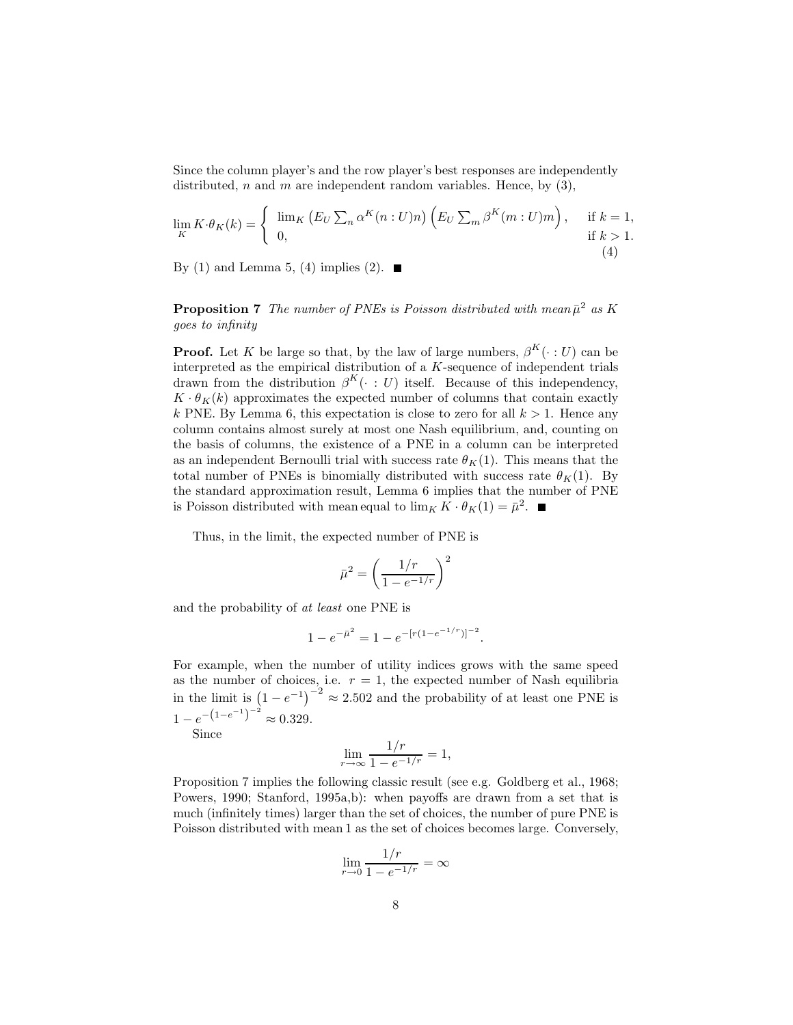Since the column player's and the row player's best responses are independently distributed, n and m are independent random variables. Hence, by  $(3)$ ,

$$
\lim_{K} K \cdot \theta_K(k) = \begin{cases} \lim_{K} \left( E_U \sum_n \alpha^K(n:U)n \right) \left( E_U \sum_m \beta^K(m:U)m \right), & \text{if } k = 1, \\ 0, & \text{if } k > 1. \end{cases}
$$

By (1) and Lemma 5, (4) implies (2).  $\blacksquare$ 

**Proposition 7** The number of PNEs is Poisson distributed with mean  $\bar{\mu}^2$  as K goes to infinity

**Proof.** Let K be large so that, by the law of large numbers,  $\beta^{K}(\cdot : U)$  can be interpreted as the empirical distribution of a K-sequence of independent trials drawn from the distribution  $\beta^{K}(\cdot : U)$  itself. Because of this independency,  $K \cdot \theta_K(k)$  approximates the expected number of columns that contain exactly k PNE. By Lemma 6, this expectation is close to zero for all  $k > 1$ . Hence any column contains almost surely at most one Nash equilibrium, and, counting on the basis of columns, the existence of a PNE in a column can be interpreted as an independent Bernoulli trial with success rate  $\theta_K(1)$ . This means that the total number of PNEs is binomially distributed with success rate  $\theta_K(1)$ . By the standard approximation result, Lemma 6 implies that the number of PNE is Poisson distributed with mean equal to  $\lim_K K \cdot \theta_K(1) = \bar{\mu}^2$ .

Thus, in the limit, the expected number of PNE is

$$
\bar{\mu}^2 = \left(\frac{1/r}{1 - e^{-1/r}}\right)^2
$$

and the probability of at least one PNE is

$$
1 - e^{-\bar{\mu}^2} = 1 - e^{-[r(1 - e^{-1/r})]^{-2}}.
$$

For example, when the number of utility indices grows with the same speed as the number of choices, i.e.  $r = 1$ , the expected number of Nash equilibria in the limit is  $(1-e^{-1})^{-2} \approx 2.502$  and the probability of at least one PNE is  $1 - e^{-\left(1 - e^{-1}\right)^{-2}} \approx 0.329.$ 

Since

$$
\lim_{r \to \infty} \frac{1/r}{1 - e^{-1/r}} = 1,
$$

Proposition 7 implies the following classic result (see e.g. Goldberg et al., 1968; Powers, 1990; Stanford, 1995a,b): when payoffs are drawn from a set that is much (infinitely times) larger than the set of choices, the number of pure PNE is Poisson distributed with mean 1 as the set of choices becomes large. Conversely,

$$
\lim_{r \to 0} \frac{1/r}{1 - e^{-1/r}} = \infty
$$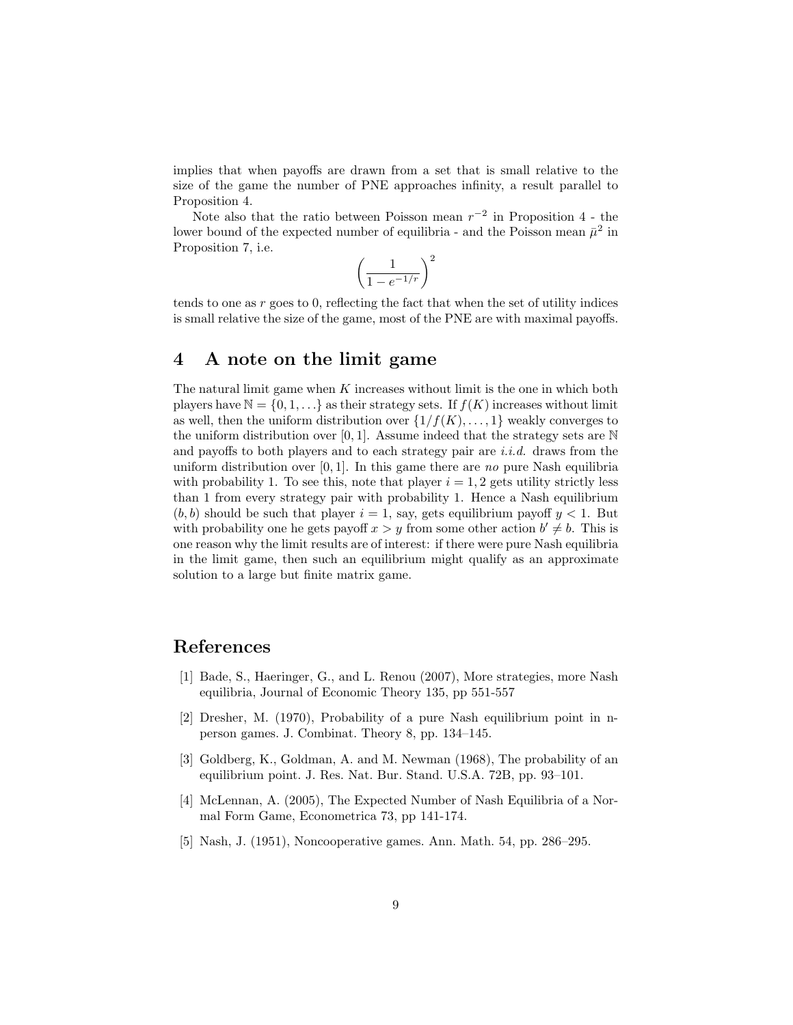implies that when payoffs are drawn from a set that is small relative to the size of the game the number of PNE approaches infinity, a result parallel to Proposition 4.

Note also that the ratio between Poisson mean  $r^{-2}$  in Proposition 4 - the lower bound of the expected number of equilibria - and the Poisson mean  $\bar{\mu}^2$  in Proposition 7, i.e.

$$
\left(\frac{1}{1 - e^{-1/r}}\right)^2
$$

tends to one as r goes to 0, reflecting the fact that when the set of utility indices is small relative the size of the game, most of the PNE are with maximal payoffs.

## 4 A note on the limit game

The natural limit game when  $K$  increases without limit is the one in which both players have  $\mathbb{N} = \{0, 1, \ldots\}$  as their strategy sets. If  $f(K)$  increases without limit as well, then the uniform distribution over  $\{1/f(K), \ldots, 1\}$  weakly converges to the uniform distribution over [0, 1]. Assume indeed that the strategy sets are  $\mathbb N$ and payoffs to both players and to each strategy pair are *i.i.d.* draws from the uniform distribution over  $[0, 1]$ . In this game there are no pure Nash equilibria with probability 1. To see this, note that player  $i = 1, 2$  gets utility strictly less than 1 from every strategy pair with probability 1. Hence a Nash equilibrium  $(b, b)$  should be such that player  $i = 1$ , say, gets equilibrium payoff  $y < 1$ . But with probability one he gets payoff  $x > y$  from some other action  $b' \neq b$ . This is one reason why the limit results are of interest: if there were pure Nash equilibria in the limit game, then such an equilibrium might qualify as an approximate solution to a large but finite matrix game.

## References

- [1] Bade, S., Haeringer, G., and L. Renou (2007), More strategies, more Nash equilibria, Journal of Economic Theory 135, pp 551-557
- [2] Dresher, M. (1970), Probability of a pure Nash equilibrium point in nperson games. J. Combinat. Theory 8, pp. 134–145.
- [3] Goldberg, K., Goldman, A. and M. Newman (1968), The probability of an equilibrium point. J. Res. Nat. Bur. Stand. U.S.A. 72B, pp. 93–101.
- [4] McLennan, A. (2005), The Expected Number of Nash Equilibria of a Normal Form Game, Econometrica 73, pp 141-174.
- [5] Nash, J. (1951), Noncooperative games. Ann. Math. 54, pp. 286–295.